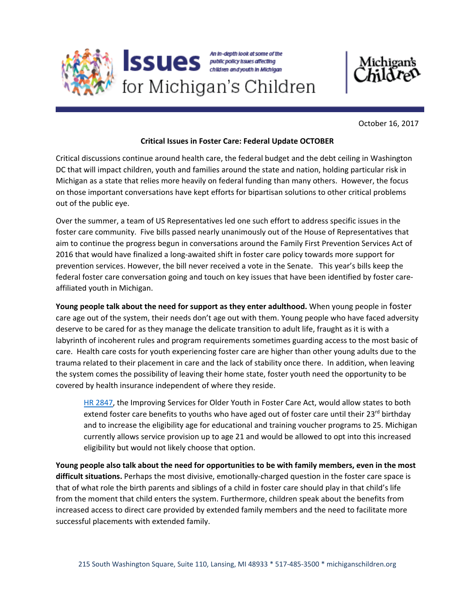



October 16, 2017

## **Critical Issues in Foster Care: Federal Update OCTOBER**

Critical discussions continue around health care, the federal budget and the debt ceiling in Washington DC that will impact children, youth and families around the state and nation, holding particular risk in Michigan as a state that relies more heavily on federal funding than many others. However, the focus on those important conversations have kept efforts for bipartisan solutions to other critical problems out of the public eye.

Over the summer, a team of US Representatives led one such effort to address specific issues in the foster care community. Five bills passed nearly unanimously out of the House of Representatives that aim to continue the progress begun in conversations around the Family First Prevention Services Act of 2016 that would have finalized a long‐awaited shift in foster care policy towards more support for prevention services. However, the bill never received a vote in the Senate. This year's bills keep the federal foster care conversation going and touch on key issues that have been identified by foster care‐ affiliated youth in Michigan.

**Young people talk about the need for support as they enter adulthood.** When young people in foster care age out of the system, their needs don't age out with them. Young people who have faced adversity deserve to be cared for as they manage the delicate transition to adult life, fraught as it is with a labyrinth of incoherent rules and program requirements sometimes guarding access to the most basic of care. Health care costs for youth experiencing foster care are higher than other young adults due to the trauma related to their placement in care and the lack of stability once there. In addition, when leaving the system comes the possibility of leaving their home state, foster youth need the opportunity to be covered by health insurance independent of where they reside.

[HR 2847,](https://www.congress.gov/bill/115th-congress/house-bill/2847?q=%7B%22search%22%3A%5B%22H.R.+2847%22%5D%7D&r=1) the Improving Services for Older Youth in Foster Care Act, would allow states to both extend foster care benefits to youths who have aged out of foster care until their 23<sup>rd</sup> birthday and to increase the eligibility age for educational and training voucher programs to 25. Michigan currently allows service provision up to age 21 and would be allowed to opt into this increased eligibility but would not likely choose that option.

**Young people also talk about the need for opportunities to be with family members, even in the most difficult situations.** Perhaps the most divisive, emotionally‐charged question in the foster care space is that of what role the birth parents and siblings of a child in foster care should play in that child's life from the moment that child enters the system. Furthermore, children speak about the benefits from increased access to direct care provided by extended family members and the need to facilitate more successful placements with extended family.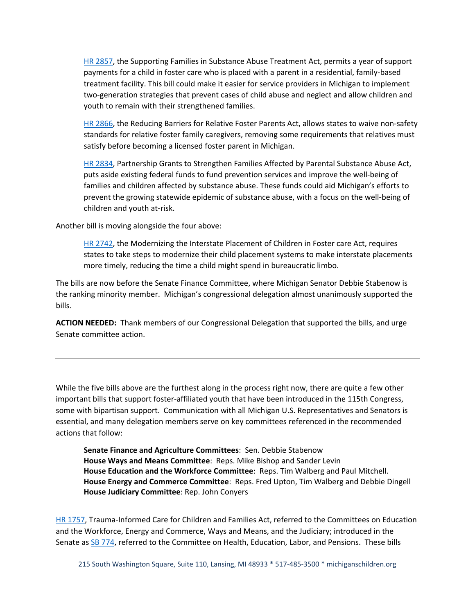[HR 2857,](https://www.congress.gov/bill/115th-congress/house-bill/2857?q=%7B%22search%22%3A%5B%22H.R.+2857%22%5D%7D&r=1) the Supporting Families in Substance Abuse Treatment Act, permits a year of support payments for a child in foster care who is placed with a parent in a residential, family-based treatment facility. This bill could make it easier for service providers in Michigan to implement two‐generation strategies that prevent cases of child abuse and neglect and allow children and youth to remain with their strengthened families.

[HR 2866,](https://www.congress.gov/bill/115th-congress/house-bill/2866) the Reducing Barriers for Relative Foster Parents Act, allows states to waive non-safety standards for relative foster family caregivers, removing some requirements that relatives must satisfy before becoming a licensed foster parent in Michigan.

[HR 2834,](https://www.congress.gov/bill/115th-congress/house-bill/2834/text?q=%7B%22search%22%3A%5B%22HR+2834%22%5D%7D&r=1) Partnership Grants to Strengthen Families Affected by Parental Substance Abuse Act, puts aside existing federal funds to fund prevention services and improve the well-being of families and children affected by substance abuse. These funds could aid Michigan's efforts to prevent the growing statewide epidemic of substance abuse, with a focus on the well‐being of children and youth at‐risk.

Another bill is moving alongside the four above:

[HR 2742,](https://www.congress.gov/bill/115th-congress/house-bill/2742?q=%7B%22search%22%3A%5B%22H.R.+2742%22%5D%7D&r=1) the Modernizing the Interstate Placement of Children in Foster care Act, requires states to take steps to modernize their child placement systems to make interstate placements more timely, reducing the time a child might spend in bureaucratic limbo.

The bills are now before the Senate Finance Committee, where Michigan Senator Debbie Stabenow is the ranking minority member. Michigan's congressional delegation almost unanimously supported the bills.

**ACTION NEEDED:** Thank members of our Congressional Delegation that supported the bills, and urge Senate committee action.

While the five bills above are the furthest along in the process right now, there are quite a few other important bills that support foster-affiliated youth that have been introduced in the 115th Congress, some with bipartisan support. Communication with all Michigan U.S. Representatives and Senators is essential, and many delegation members serve on key committees referenced in the recommended actions that follow:

**Senate Finance and Agriculture Committees**: Sen. Debbie Stabenow **House Ways and Means Committee**: Reps. Mike Bishop and Sander Levin **House Education and the Workforce Committee**: Reps. Tim Walberg and Paul Mitchell. **House Energy and Commerce Committee**: Reps. Fred Upton, Tim Walberg and Debbie Dingell **House Judiciary Committee**: Rep. John Conyers

[HR 1757,](https://www.congress.gov/bill/115th-congress/house-bill/1757/text) Trauma-Informed Care for Children and Families Act, referred to the Committees on Education and the Workforce, Energy and Commerce, Ways and Means, and the Judiciary; introduced in the Senate as [SB 774,](https://www.congress.gov/bill/115th-congress/senate-bill/774?q=%7B%22search%22%3A%5B%22S.774%22%5D%7D&r=1) referred to the Committee on Health, Education, Labor, and Pensions. These bills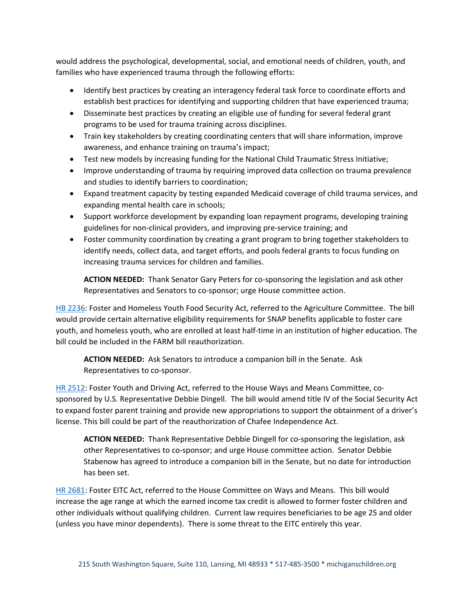would address the psychological, developmental, social, and emotional needs of children, youth, and families who have experienced trauma through the following efforts:

- Identify best practices by creating an interagency federal task force to coordinate efforts and establish best practices for identifying and supporting children that have experienced trauma;
- Disseminate best practices by creating an eligible use of funding for several federal grant programs to be used for trauma training across disciplines.
- Train key stakeholders by creating coordinating centers that will share information, improve awareness, and enhance training on trauma's impact;
- Test new models by increasing funding for the National Child Traumatic Stress Initiative;
- Improve understanding of trauma by requiring improved data collection on trauma prevalence and studies to identify barriers to coordination;
- Expand treatment capacity by testing expanded Medicaid coverage of child trauma services, and expanding mental health care in schools;
- Support workforce development by expanding loan repayment programs, developing training guidelines for non‐clinical providers, and improving pre‐service training; and
- Foster community coordination by creating a grant program to bring together stakeholders to identify needs, collect data, and target efforts, and pools federal grants to focus funding on increasing trauma services for children and families.

**ACTION NEEDED:** Thank Senator Gary Peters for co-sponsoring the legislation and ask other Representatives and Senators to co‐sponsor; urge House committee action.

[HB 2236:](https://www.congress.gov/bill/115th-congress/house-bill/2236?q=%7B%22search%22%3A%5B%222236%22%5D%7D&r=1) Foster and Homeless Youth Food Security Act, referred to the Agriculture Committee. The bill would provide certain alternative eligibility requirements for SNAP benefits applicable to foster care youth, and homeless youth, who are enrolled at least half‐time in an institution of higher education. The bill could be included in the FARM bill reauthorization.

**ACTION NEEDED:** Ask Senators to introduce a companion bill in the Senate. Ask Representatives to co‐sponsor.

[HR 2512:](https://www.congress.gov/bill/115th-congress/house-bill/2512?q=%7B%22search%22%3A%5B%222512%22%5D%7D&r=1) Foster Youth and Driving Act, referred to the House Ways and Means Committee, cosponsored by U.S. Representative Debbie Dingell. The bill would amend title IV of the Social Security Act to expand foster parent training and provide new appropriations to support the obtainment of a driver's license. This bill could be part of the reauthorization of Chafee Independence Act.

**ACTION NEEDED:** Thank Representative Debbie Dingell for co‐sponsoring the legislation, ask other Representatives to co‐sponsor; and urge House committee action. Senator Debbie Stabenow has agreed to introduce a companion bill in the Senate, but no date for introduction has been set.

[HR 2681:](https://www.congress.gov/bill/115th-congress/house-bill/2681?q=%7B%22search%22%3A%5B%222681%22%5D%7D&r=1) Foster EITC Act, referred to the House Committee on Ways and Means. This bill would increase the age range at which the earned income tax credit is allowed to former foster children and other individuals without qualifying children. Current law requires beneficiaries to be age 25 and older (unless you have minor dependents). There is some threat to the EITC entirely this year.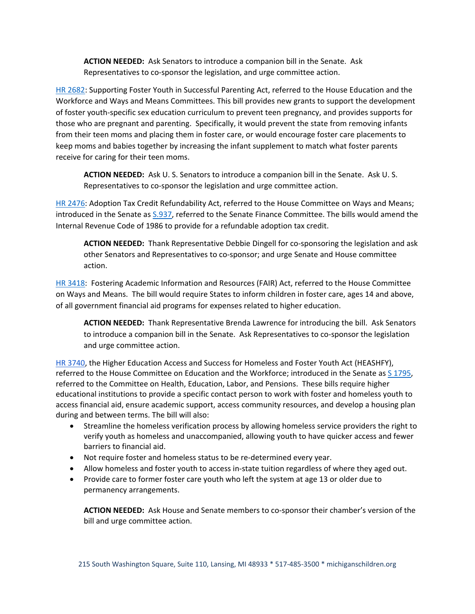**ACTION NEEDED:** Ask Senators to introduce a companion bill in the Senate. Ask Representatives to co‐sponsor the legislation, and urge committee action.

[HR 2682:](https://www.congress.gov/bill/115th-congress/house-bill/2682?q=%7B%22search%22%3A%5B%222682%22%5D%7D&r=1) Supporting Foster Youth in Successful Parenting Act, referred to the House Education and the Workforce and Ways and Means Committees. This bill provides new grants to support the development of foster youth‐specific sex education curriculum to prevent teen pregnancy, and provides supports for those who are pregnant and parenting. Specifically, it would prevent the state from removing infants from their teen moms and placing them in foster care, or would encourage foster care placements to keep moms and babies together by increasing the infant supplement to match what foster parents receive for caring for their teen moms.

**ACTION NEEDED:** Ask U. S. Senators to introduce a companion bill in the Senate. Ask U. S. Representatives to co‐sponsor the legislation and urge committee action.

[HR 2476:](https://www.congress.gov/bill/115th-congress/house-bill/2476?q=%7B%22search%22%3A%5B%222476%22%5D%7D&r=1) Adoption Tax Credit Refundability Act, referred to the House Committee on Ways and Means; introduced in the Senate as [S.937,](https://www.congress.gov/bill/115th-congress/senate-bill/937?q=%7B%22search%22%3A%5B%22937%22%5D%7D&r=4) referred to the Senate Finance Committee. The bills would amend the Internal Revenue Code of 1986 to provide for a refundable adoption tax credit.

**ACTION NEEDED:** Thank Representative Debbie Dingell for co‐sponsoring the legislation and ask other Senators and Representatives to co‐sponsor; and urge Senate and House committee action.

[HR 3418:](https://www.congress.gov/bill/115th-congress/house-bill/3418?q=%7B%22search%22%3A%5B%223418%22%5D%7D&r=2) Fostering Academic Information and Resources (FAIR) Act, referred to the House Committee on Ways and Means. The bill would require States to inform children in foster care, ages 14 and above, of all government financial aid programs for expenses related to higher education.

**ACTION NEEDED:** Thank Representative Brenda Lawrence for introducing the bill. Ask Senators to introduce a companion bill in the Senate. Ask Representatives to co-sponsor the legislation and urge committee action.

[HR 3740,](https://www.congress.gov/bill/115th-congress/house-bill/3740?q=%7B%22search%22%3A%5B%22H.R.+3740%22%5D%7D&r=1) the Higher Education Access and Success for Homeless and Foster Youth Act (HEASHFY), referred to the House Committee on Education and the Workforce; introduced in the Senate as [S 1795,](https://www.congress.gov/bill/115th-congress/senate-bill/1795/related-bills) referred to the Committee on Health, Education, Labor, and Pensions. These bills require higher educational institutions to provide a specific contact person to work with foster and homeless youth to access financial aid, ensure academic support, access community resources, and develop a housing plan during and between terms. The bill will also:

- Streamline the homeless verification process by allowing homeless service providers the right to verify youth as homeless and unaccompanied, allowing youth to have quicker access and fewer barriers to financial aid.
- Not require foster and homeless status to be re-determined every year.
- Allow homeless and foster youth to access in-state tuition regardless of where they aged out.
- Provide care to former foster care youth who left the system at age 13 or older due to permanency arrangements.

**ACTION NEEDED:** Ask House and Senate members to co‐sponsor their chamber's version of the bill and urge committee action.